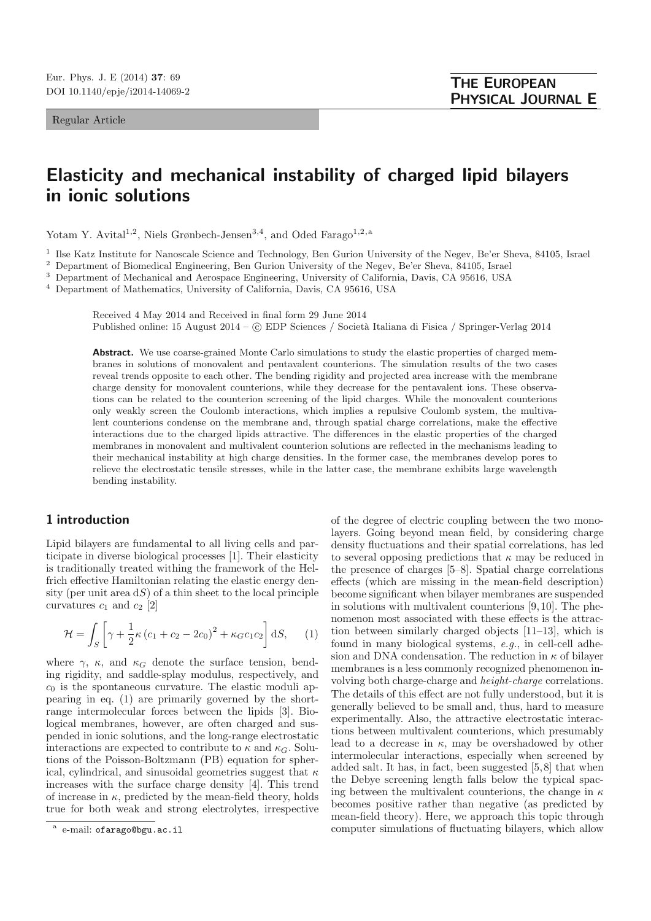Regular Article

## **Elasticity and mechanical instability of charged lipid bilayers in ionic solutions**

Yotam Y. Avital<sup>1,2</sup>, Niels Grønbech-Jensen<sup>3,4</sup>, and Oded Farago<sup>1,2,a</sup>

<sup>1</sup> Ilse Katz Institute for Nanoscale Science and Technology, Ben Gurion University of the Negev, Be'er Sheva, 84105, Israel  $\frac{2}{5}$  Department of Biomediael Engineering, Ben Gurion University of the Negev, Be'er Sheva,

<sup>2</sup> Department of Biomedical Engineering, Ben Gurion University of the Negev, Be'er Sheva, 84105, Israel

<sup>3</sup> Department of Mechanical and Aerospace Engineering, University of California, Davis, CA 95616, USA

<sup>4</sup> Department of Mathematics, University of California, Davis, CA 95616, USA

Received 4 May 2014 and Received in final form 29 June 2014 Published online: 15 August 2014 – © EDP Sciences / Società Italiana di Fisica / Springer-Verlag 2014

Abstract. We use coarse-grained Monte Carlo simulations to study the elastic properties of charged membranes in solutions of monovalent and pentavalent counterions. The simulation results of the two cases reveal trends opposite to each other. The bending rigidity and projected area increase with the membrane charge density for monovalent counterions, while they decrease for the pentavalent ions. These observations can be related to the counterion screening of the lipid charges. While the monovalent counterions only weakly screen the Coulomb interactions, which implies a repulsive Coulomb system, the multivalent counterions condense on the membrane and, through spatial charge correlations, make the effective interactions due to the charged lipids attractive. The differences in the elastic properties of the charged membranes in monovalent and multivalent counterion solutions are reflected in the mechanisms leading to their mechanical instability at high charge densities. In the former case, the membranes develop pores to relieve the electrostatic tensile stresses, while in the latter case, the membrane exhibits large wavelength bending instability.

## **1 introduction**

Lipid bilayers are fundamental to all living cells and participate in diverse biological processes [1]. Their elasticity is traditionally treated withing the framework of the Helfrich effective Hamiltonian relating the elastic energy density (per unit area  $dS$ ) of a thin sheet to the local principle curvatures  $c_1$  and  $c_2$  [2]

$$
\mathcal{H} = \int_{S} \left[ \gamma + \frac{1}{2} \kappa \left( c_1 + c_2 - 2c_0 \right)^2 + \kappa_G c_1 c_2 \right] dS, \quad (1)
$$

where  $\gamma$ ,  $\kappa$ , and  $\kappa_G$  denote the surface tension, bending rigidity, and saddle-splay modulus, respectively, and  $c_0$  is the spontaneous curvature. The elastic moduli appearing in eq. (1) are primarily governed by the shortrange intermolecular forces between the lipids [3]. Biological membranes, however, are often charged and suspended in ionic solutions, and the long-range electrostatic interactions are expected to contribute to  $\kappa$  and  $\kappa_G$ . Solutions of the Poisson-Boltzmann (PB) equation for spherical, cylindrical, and sinusoidal geometries suggest that  $\kappa$ increases with the surface charge density [4]. This trend of increase in  $\kappa$ , predicted by the mean-field theory, holds true for both weak and strong electrolytes, irrespective of the degree of electric coupling between the two monolayers. Going beyond mean field, by considering charge density fluctuations and their spatial correlations, has led to several opposing predictions that  $\kappa$  may be reduced in the presence of charges [5–8]. Spatial charge correlations effects (which are missing in the mean-field description) become significant when bilayer membranes are suspended in solutions with multivalent counterions [9,10]. The phenomenon most associated with these effects is the attraction between similarly charged objects [11–13], which is found in many biological systems, e.g., in cell-cell adhesion and DNA condensation. The reduction in  $\kappa$  of bilayer membranes is a less commonly recognized phenomenon involving both charge-charge and height-charge correlations. The details of this effect are not fully understood, but it is generally believed to be small and, thus, hard to measure experimentally. Also, the attractive electrostatic interactions between multivalent counterions, which presumably lead to a decrease in  $\kappa$ , may be overshadowed by other intermolecular interactions, especially when screened by added salt. It has, in fact, been suggested [5,8] that when the Debye screening length falls below the typical spacing between the multivalent counterions, the change in  $\kappa$ becomes positive rather than negative (as predicted by mean-field theory). Here, we approach this topic through computer simulations of fluctuating bilayers, which allow

e-mail: ofarago@bgu.ac.il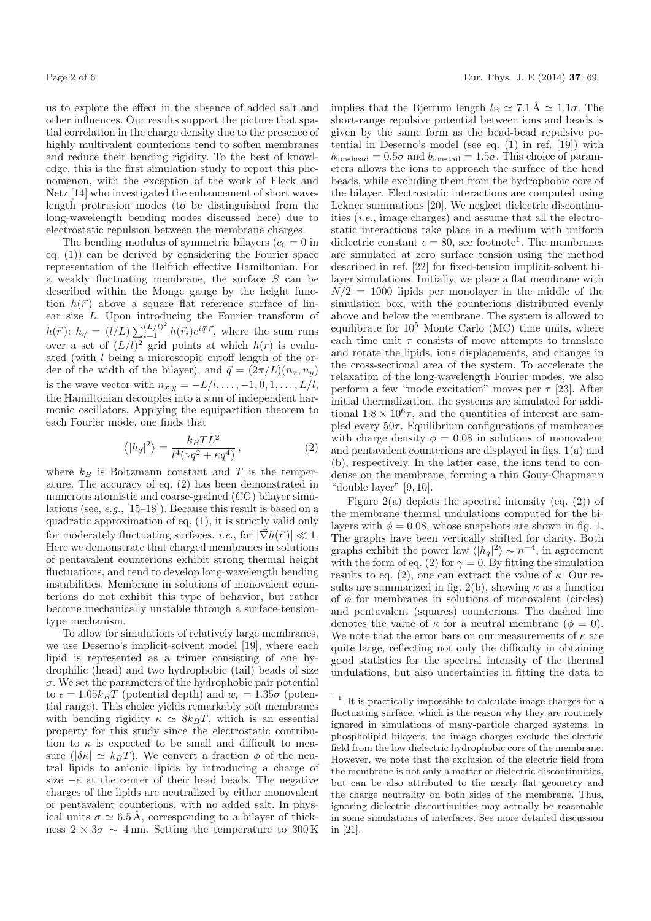us to explore the effect in the absence of added salt and other influences. Our results support the picture that spatial correlation in the charge density due to the presence of highly multivalent counterions tend to soften membranes and reduce their bending rigidity. To the best of knowledge, this is the first simulation study to report this phenomenon, with the exception of the work of Fleck and Netz [14] who investigated the enhancement of short wavelength protrusion modes (to be distinguished from the long-wavelength bending modes discussed here) due to electrostatic repulsion between the membrane charges.

The bending modulus of symmetric bilayers  $(c_0 = 0$  in eq. (1)) can be derived by considering the Fourier space representation of the Helfrich effective Hamiltonian. For a weakly fluctuating membrane, the surface S can be described within the Monge gauge by the height function  $h(\vec{r})$  above a square flat reference surface of linear size L. Upon introducing the Fourier transform of  $h(\vec{r})$ :  $h_{\vec{q}} = (l/L) \sum_{i=1}^{(L/l)^2} h(\vec{r_i}) e^{i\vec{q}\cdot\vec{r}},$  where the sum runs over a set of  $(L/l)^2$  grid points at which  $h(r)$  is evaluated (with l being a microscopic cutoff length of the order of the width of the bilayer), and  $\vec{q} = (2\pi/L)(n_x, n_y)$ is the wave vector with  $n_{x,y} = -L/l, \ldots, -1, 0, 1, \ldots, L/l$ , the Hamiltonian decouples into a sum of independent harmonic oscillators. Applying the equipartition theorem to each Fourier mode, one finds that

$$
\langle |h_{\vec{q}}|^2 \rangle = \frac{k_B T L^2}{l^4 (\gamma q^2 + \kappa q^4)},\tag{2}
$$

where  $k_B$  is Boltzmann constant and T is the temperature. The accuracy of eq. (2) has been demonstrated in numerous atomistic and coarse-grained (CG) bilayer simulations (see, e.g., [15–18]). Because this result is based on a quadratic approximation of eq. (1), it is strictly valid only for moderately fluctuating surfaces, *i.e.*, for  $|\vec{\nabla}h(\vec{r})| \ll 1$ . Here we demonstrate that charged membranes in solutions of pentavalent counterions exhibit strong thermal height fluctuations, and tend to develop long-wavelength bending instabilities. Membrane in solutions of monovalent counterions do not exhibit this type of behavior, but rather become mechanically unstable through a surface-tensiontype mechanism.

To allow for simulations of relatively large membranes, we use Deserno's implicit-solvent model [19], where each lipid is represented as a trimer consisting of one hydrophilic (head) and two hydrophobic (tail) beads of size  $\sigma$ . We set the parameters of the hydrophobic pair potential to  $\epsilon = 1.05 k_B T$  (potential depth) and  $w_c = 1.35\sigma$  (potential range). This choice yields remarkably soft membranes with bending rigidity  $\kappa \simeq 8k_BT$ , which is an essential property for this study since the electrostatic contribution to  $\kappa$  is expected to be small and difficult to measure ( $|\delta \kappa| \simeq k_BT$ ). We convert a fraction  $\phi$  of the neutral lipids to anionic lipids by introducing a charge of size  $-e$  at the center of their head beads. The negative charges of the lipids are neutralized by either monovalent or pentavalent counterions, with no added salt. In physical units  $\sigma \simeq 6.5$  Å, corresponding to a bilayer of thickness  $2 \times 3\sigma \sim 4$  nm. Setting the temperature to 300 K implies that the Bjerrum length  $l_B \simeq 7.1 \text{ Å} \simeq 1.1 \sigma$ . The short-range repulsive potential between ions and beads is given by the same form as the bead-bead repulsive potential in Deserno's model (see eq. (1) in ref. [19]) with  $b_{\text{ion-head}} = 0.5\sigma$  and  $b_{\text{ion-tail}} = 1.5\sigma$ . This choice of parameters allows the ions to approach the surface of the head beads, while excluding them from the hydrophobic core of the bilayer. Electrostatic interactions are computed using Lekner summations [20]. We neglect dielectric discontinuities (i.e., image charges) and assume that all the electrostatic interactions take place in a medium with uniform dielectric constant  $\epsilon = 80$ , see footnote<sup>1</sup>. The membranes are simulated at zero surface tension using the method described in ref. [22] for fixed-tension implicit-solvent bilayer simulations. Initially, we place a flat membrane with  $N/2 = 1000$  lipids per monolayer in the middle of the simulation box, with the counterions distributed evenly above and below the membrane. The system is allowed to equilibrate for  $10^5$  Monte Carlo (MC) time units, where each time unit  $\tau$  consists of move attempts to translate and rotate the lipids, ions displacements, and changes in the cross-sectional area of the system. To accelerate the relaxation of the long-wavelength Fourier modes, we also perform a few "mode excitation" moves per  $\tau$  [23]. After initial thermalization, the systems are simulated for additional  $1.8 \times 10^6 \tau$ , and the quantities of interest are sampled every  $50\tau$ . Equilibrium configurations of membranes with charge density  $\phi = 0.08$  in solutions of monovalent and pentavalent counterions are displayed in figs. 1(a) and (b), respectively. In the latter case, the ions tend to condense on the membrane, forming a thin Gouy-Chapmann "double layer" [9,10].

Figure 2(a) depicts the spectral intensity (eq.  $(2)$ ) of the membrane thermal undulations computed for the bilayers with  $\phi = 0.08$ , whose snapshots are shown in fig. 1. The graphs have been vertically shifted for clarity. Both graphs exhibit the power law  $\langle |h_q|^2 \rangle \sim n^{-4}$ , in agreement with the form of eq. (2) for  $\gamma = 0$ . By fitting the simulation results to eq. (2), one can extract the value of  $\kappa$ . Our results are summarized in fig. 2(b), showing  $\kappa$  as a function of  $\phi$  for membranes in solutions of monovalent (circles) and pentavalent (squares) counterions. The dashed line denotes the value of  $\kappa$  for a neutral membrane  $(\phi = 0)$ . We note that the error bars on our measurements of  $\kappa$  are quite large, reflecting not only the difficulty in obtaining good statistics for the spectral intensity of the thermal undulations, but also uncertainties in fitting the data to

 $^{\rm 1}$  It is practically impossible to calculate image charges for a fluctuating surface, which is the reason why they are routinely ignored in simulations of many-particle charged systems. In phospholipid bilayers, the image charges exclude the electric field from the low dielectric hydrophobic core of the membrane. However, we note that the exclusion of the electric field from the membrane is not only a matter of dielectric discontinuities, but can be also attributed to the nearly flat geometry and the charge neutrality on both sides of the membrane. Thus, ignoring dielectric discontinuities may actually be reasonable in some simulations of interfaces. See more detailed discussion in [21].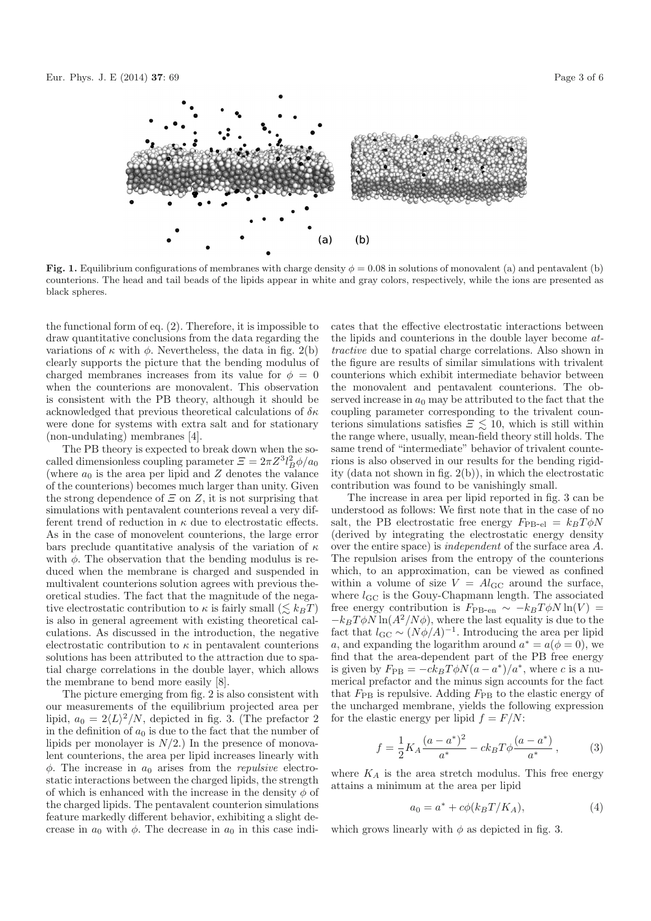

**Fig. 1.** Equilibrium configurations of membranes with charge density  $\phi = 0.08$  in solutions of monovalent (a) and pentavalent (b) counterions. The head and tail beads of the lipids appear in white and gray colors, respectively, while the ions are presented as black spheres.

the functional form of eq. (2). Therefore, it is impossible to draw quantitative conclusions from the data regarding the variations of  $\kappa$  with  $\phi$ . Nevertheless, the data in fig. 2(b) clearly supports the picture that the bending modulus of charged membranes increases from its value for  $\phi = 0$ when the counterions are monovalent. This observation is consistent with the PB theory, although it should be acknowledged that previous theoretical calculations of  $\delta \kappa$ were done for systems with extra salt and for stationary (non-undulating) membranes [4].

The PB theory is expected to break down when the socalled dimensionless coupling parameter  $\mathcal{Z} = 2\pi Z^3 l_B^2 \phi/a_0$ (where  $a_0$  is the area per lipid and Z denotes the valance of the counterions) becomes much larger than unity. Given the strong dependence of  $\Xi$  on  $Z$ , it is not surprising that simulations with pentavalent counterions reveal a very different trend of reduction in  $\kappa$  due to electrostatic effects. As in the case of monovelent counterions, the large error bars preclude quantitative analysis of the variation of  $\kappa$ with  $\phi$ . The observation that the bending modulus is reduced when the membrane is charged and suspended in multivalent counterions solution agrees with previous theoretical studies. The fact that the magnitude of the negative electrostatic contribution to  $\kappa$  is fairly small  $(\lesssim k_BT)$ is also in general agreement with existing theoretical calculations. As discussed in the introduction, the negative electrostatic contribution to  $\kappa$  in pentavalent counterions solutions has been attributed to the attraction due to spatial charge correlations in the double layer, which allows the membrane to bend more easily [8].

The picture emerging from fig. 2 is also consistent with our measurements of the equilibrium projected area per lipid,  $a_0 = 2\langle L \rangle^2/N$ , depicted in fig. 3. (The prefactor 2) in the definition of  $a_0$  is due to the fact that the number of lipids per monolayer is  $N/2$ .) In the presence of monovalent counterions, the area per lipid increases linearly with  $\phi$ . The increase in  $a_0$  arises from the *repulsive* electrostatic interactions between the charged lipids, the strength of which is enhanced with the increase in the density  $\phi$  of the charged lipids. The pentavalent counterion simulations feature markedly different behavior, exhibiting a slight decrease in  $a_0$  with  $\phi$ . The decrease in  $a_0$  in this case indicates that the effective electrostatic interactions between the lipids and counterions in the double layer become attractive due to spatial charge correlations. Also shown in the figure are results of similar simulations with trivalent counterions which exhibit intermediate behavior between the monovalent and pentavalent counterions. The observed increase in  $a_0$  may be attributed to the fact that the coupling parameter corresponding to the trivalent counterions simulations satisfies  $\mathcal{Z} \lesssim 10$ , which is still within the range where, usually, mean-field theory still holds. The same trend of "intermediate" behavior of trivalent counterions is also observed in our results for the bending rigidity (data not shown in fig. 2(b)), in which the electrostatic contribution was found to be vanishingly small.

The increase in area per lipid reported in fig. 3 can be understood as follows: We first note that in the case of no salt, the PB electrostatic free energy  $F_{\text{PB-el}} = k_B T \phi N$ (derived by integrating the electrostatic energy density over the entire space) is independent of the surface area A. The repulsion arises from the entropy of the counterions which, to an approximation, can be viewed as confined within a volume of size  $V = Al_{\text{GC}}$  around the surface, where  $l_{\rm GC}$  is the Gouy-Chapmann length. The associated free energy contribution is  $F_{\text{PB-en}} \sim -k_B T \phi N \ln(V)$  =  $-k_BT\phi N\ln(A^2/N\phi)$ , where the last equality is due to the fact that  $l_{\text{GC}} \sim (N\phi/A)^{-1}$ . Introducing the area per lipid a, and expanding the logarithm around  $a^* = a(\phi = 0)$ , we find that the area-dependent part of the PB free energy is given by  $F_{\rm PB} = -ck_BT\phi N(a-a^*)/a^*$ , where c is a numerical prefactor and the minus sign accounts for the fact that  $F_{\rm PB}$  is repulsive. Adding  $F_{\rm PB}$  to the elastic energy of the uncharged membrane, yields the following expression for the elastic energy per lipid  $f = F/N$ :

$$
f = \frac{1}{2} K_A \frac{(a - a^*)^2}{a^*} - c k_B T \phi \frac{(a - a^*)}{a^*},
$$
 (3)

where  $K_A$  is the area stretch modulus. This free energy attains a minimum at the area per lipid

$$
a_0 = a^* + c\phi(k_BT/K_A),\tag{4}
$$

which grows linearly with  $\phi$  as depicted in fig. 3.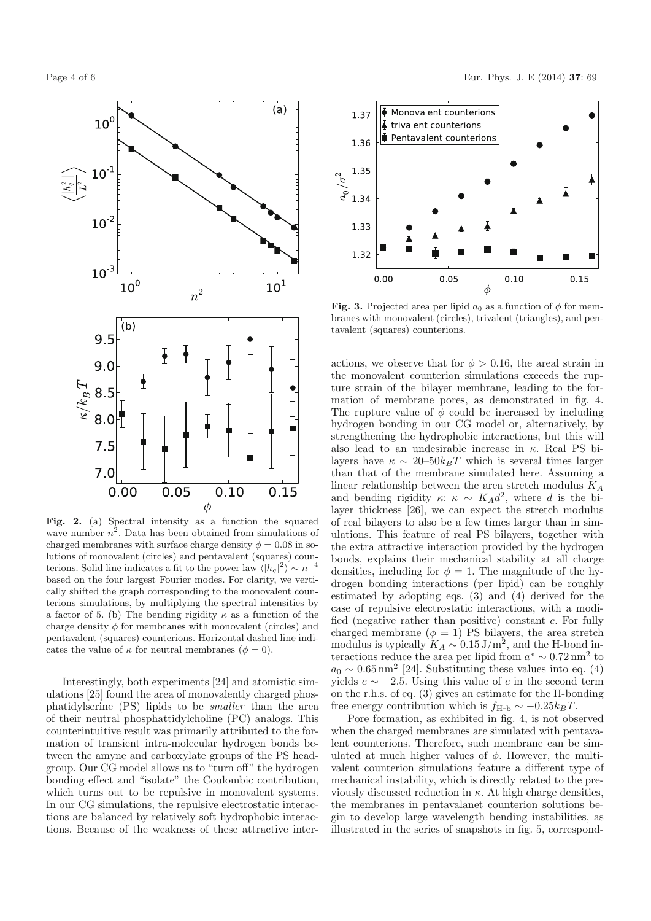

**Fig. 2.** (a) Spectral intensity as a function the squared wave number  $n^2$ . Data has been obtained from simulations of charged membranes with surface charge density  $\phi = 0.08$  in solutions of monovalent (circles) and pentavalent (squares) counterions. Solid line indicates a fit to the power law  $\langle |h_q|^2 \rangle \sim n^{-4}$ based on the four largest Fourier modes. For clarity, we vertically shifted the graph corresponding to the monovalent counterions simulations, by multiplying the spectral intensities by a factor of 5. (b) The bending rigidity  $\kappa$  as a function of the charge density  $\phi$  for membranes with monovalent (circles) and pentavalent (squares) counterions. Horizontal dashed line indicates the value of  $\kappa$  for neutral membranes ( $\phi = 0$ ).

Interestingly, both experiments [24] and atomistic simulations [25] found the area of monovalently charged phosphatidylserine (PS) lipids to be smaller than the area of their neutral phosphattidylcholine (PC) analogs. This counterintuitive result was primarily attributed to the formation of transient intra-molecular hydrogen bonds between the amyne and carboxylate groups of the PS headgroup. Our CG model allows us to "turn off" the hydrogen bonding effect and "isolate" the Coulombic contribution, which turns out to be repulsive in monovalent systems. In our CG simulations, the repulsive electrostatic interactions are balanced by relatively soft hydrophobic interactions. Because of the weakness of these attractive inter-



**Fig. 3.** Projected area per lipid  $a_0$  as a function of  $\phi$  for membranes with monovalent (circles), trivalent (triangles), and pentavalent (squares) counterions.

actions, we observe that for  $\phi > 0.16$ , the areal strain in the monovalent counterion simulations exceeds the rupture strain of the bilayer membrane, leading to the formation of membrane pores, as demonstrated in fig. 4. The rupture value of  $\phi$  could be increased by including hydrogen bonding in our CG model or, alternatively, by strengthening the hydrophobic interactions, but this will also lead to an undesirable increase in κ. Real PS bilayers have  $\kappa \sim 20-50k_BT$  which is several times larger than that of the membrane simulated here. Assuming a linear relationship between the area stretch modulus  $K_A$ and bending rigidity  $\kappa: \kappa \sim K_A d^2$ , where d is the bilayer thickness [26], we can expect the stretch modulus of real bilayers to also be a few times larger than in simulations. This feature of real PS bilayers, together with the extra attractive interaction provided by the hydrogen bonds, explains their mechanical stability at all charge densities, including for  $\phi = 1$ . The magnitude of the hydrogen bonding interactions (per lipid) can be roughly estimated by adopting eqs. (3) and (4) derived for the case of repulsive electrostatic interactions, with a modified (negative rather than positive) constant c. For fully charged membrane ( $\phi = 1$ ) PS bilayers, the area stretch modulus is typically  $K_A \sim 0.15 \,\mathrm{J/m^2}$ , and the H-bond interactions reduce the area per lipid from  $a^* \sim 0.72 \text{ nm}^2$  to  $a_0 \sim 0.65$  nm<sup>2</sup> [24]. Substituting these values into eq. (4) yields  $c \sim -2.5$ . Using this value of c in the second term on the r.h.s. of eq. (3) gives an estimate for the H-bonding free energy contribution which is  $f_{\text{H-b}} \sim -0.25 k_B T$ .

Pore formation, as exhibited in fig. 4, is not observed when the charged membranes are simulated with pentavalent counterions. Therefore, such membrane can be simulated at much higher values of  $\phi$ . However, the multivalent counterion simulations feature a different type of mechanical instability, which is directly related to the previously discussed reduction in  $\kappa$ . At high charge densities, the membranes in pentavalanet counterion solutions begin to develop large wavelength bending instabilities, as illustrated in the series of snapshots in fig. 5, correspond-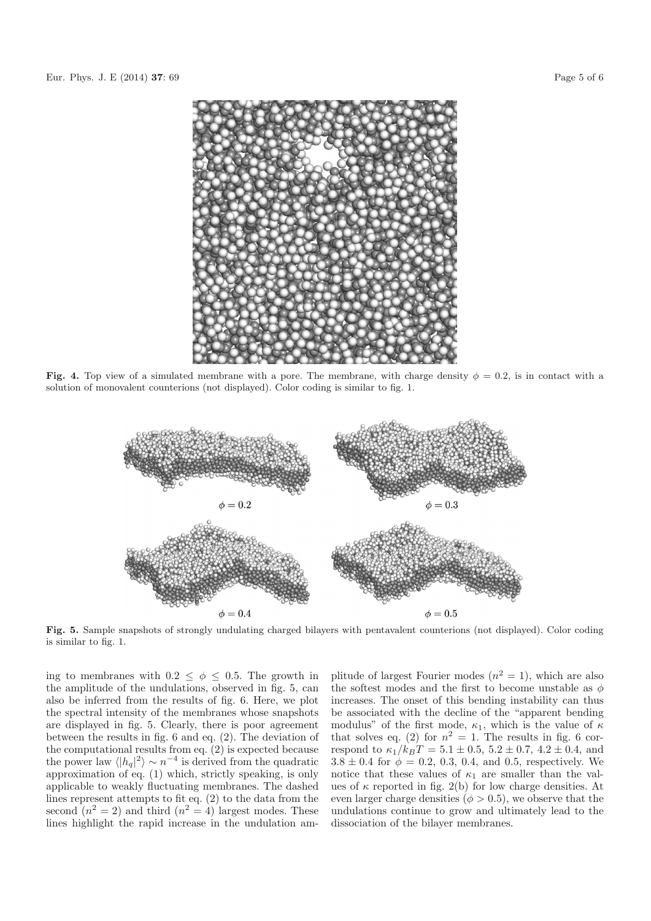

**Fig. 4.** Top view of a simulated membrane with a pore. The membrane, with charge density  $\phi = 0.2$ , is in contact with a solution of monovalent counterions (not displayed). Color coding is similar to fig. 1.



**Fig. 5.** Sample snapshots of strongly undulating charged bilayers with pentavalent counterions (not displayed). Color coding is similar to fig. 1.

ing to membranes with  $0.2 \leq \phi \leq 0.5$ . The growth in the amplitude of the undulations, observed in fig. 5, can also be inferred from the results of fig. 6. Here, we plot the spectral intensity of the membranes whose snapshots are displayed in fig. 5. Clearly, there is poor agreement between the results in fig. 6 and eq. (2). The deviation of the computational results from eq.  $(2)$  is expected because the power law  $\langle |h_q|^2 \rangle \sim n^{-4}$  is derived from the quadratic approximation of eq. (1) which, strictly speaking, is only applicable to weakly fluctuating membranes. The dashed lines represent attempts to fit eq. (2) to the data from the second  $(n^2 = 2)$  and third  $(n^2 = 4)$  largest modes. These lines highlight the rapid increase in the undulation amplitude of largest Fourier modes  $(n^2 = 1)$ , which are also the softest modes and the first to become unstable as  $\phi$ increases. The onset of this bending instability can thus be associated with the decline of the "apparent bending modulus" of the first mode,  $\kappa_1$ , which is the value of  $\kappa$ that solves eq. (2) for  $n^2 = 1$ . The results in fig. 6 correspond to  $\kappa_1/k_BT = 5.1 \pm 0.5, 5.2 \pm 0.7, 4.2 \pm 0.4,$  and  $3.8 \pm 0.4$  for  $\phi = 0.2, 0.3, 0.4,$  and 0.5, respectively. We notice that these values of  $\kappa_1$  are smaller than the values of  $\kappa$  reported in fig. 2(b) for low charge densities. At even larger charge densities ( $\phi > 0.5$ ), we observe that the undulations continue to grow and ultimately lead to the dissociation of the bilayer membranes.